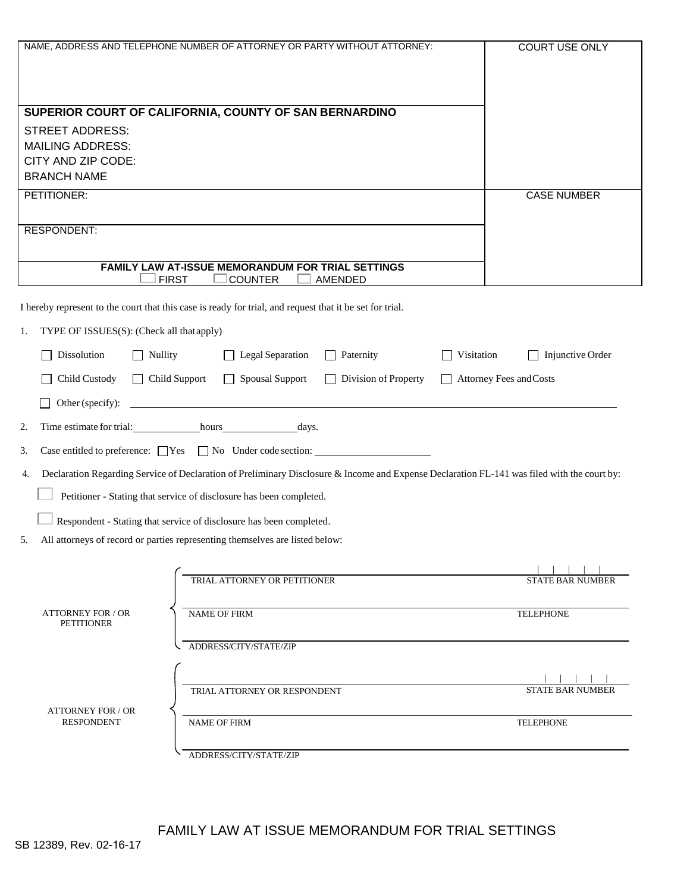|                                                 | NAME, ADDRESS AND TELEPHONE NUMBER OF ATTORNEY OR PARTY WITHOUT ATTORNEY:                                                                   | <b>COURT USE ONLY</b>                 |  |
|-------------------------------------------------|---------------------------------------------------------------------------------------------------------------------------------------------|---------------------------------------|--|
|                                                 |                                                                                                                                             |                                       |  |
|                                                 |                                                                                                                                             |                                       |  |
|                                                 | SUPERIOR COURT OF CALIFORNIA, COUNTY OF SAN BERNARDINO                                                                                      |                                       |  |
| <b>STREET ADDRESS:</b>                          |                                                                                                                                             |                                       |  |
| <b>MAILING ADDRESS:</b>                         |                                                                                                                                             |                                       |  |
| CITY AND ZIP CODE:                              |                                                                                                                                             |                                       |  |
| <b>BRANCH NAME</b>                              |                                                                                                                                             |                                       |  |
| PETITIONER:                                     |                                                                                                                                             | <b>CASE NUMBER</b>                    |  |
| RESPONDENT:                                     |                                                                                                                                             |                                       |  |
|                                                 |                                                                                                                                             |                                       |  |
|                                                 | FAMILY LAW AT-ISSUE MEMORANDUM FOR TRIAL SETTINGS                                                                                           |                                       |  |
|                                                 | <b>FIRST</b><br><b>COUNTER</b><br>AMENDED                                                                                                   |                                       |  |
|                                                 | I hereby represent to the court that this case is ready for trial, and request that it be set for trial.                                    |                                       |  |
| TYPE OF ISSUES(S): (Check all that apply)<br>1. |                                                                                                                                             |                                       |  |
| Dissolution<br>$\Box$ Nullity                   | Legal Separation<br>$\Box$ Paternity                                                                                                        | Visitation<br>$\Box$ Injunctive Order |  |
| Child Custody                                   | Division of Property<br>$\Box$ Child Support<br>$\Box$<br><b>Spousal Support</b><br>$\perp$<br>$\Box$                                       | Attorney Fees and Costs               |  |
| Other (specify):                                |                                                                                                                                             |                                       |  |
| 2.                                              | Time estimate for trial: hours hours days.                                                                                                  |                                       |  |
| 3.                                              | Case entitled to preference: $\Box$ Yes $\Box$ No Under code section: $\Box$                                                                |                                       |  |
| 4.                                              | Declaration Regarding Service of Declaration of Preliminary Disclosure & Income and Expense Declaration FL-141 was filed with the court by: |                                       |  |
|                                                 | Petitioner - Stating that service of disclosure has been completed.                                                                         |                                       |  |
|                                                 | Respondent - Stating that service of disclosure has been completed.                                                                         |                                       |  |
| 5.                                              | All attorneys of record or parties representing themselves are listed below:                                                                |                                       |  |
|                                                 |                                                                                                                                             |                                       |  |
|                                                 | TRIAL ATTORNEY OR PETITIONER                                                                                                                | <b>STATE BAR NUMBER</b>               |  |
|                                                 |                                                                                                                                             |                                       |  |
| <b>ATTORNEY FOR / OR</b><br><b>PETITIONER</b>   | <b>NAME OF FIRM</b>                                                                                                                         | <b>TELEPHONE</b>                      |  |
|                                                 | ADDRESS/CITY/STATE/ZIP                                                                                                                      |                                       |  |
|                                                 |                                                                                                                                             |                                       |  |
|                                                 |                                                                                                                                             |                                       |  |
|                                                 | TRIAL ATTORNEY OR RESPONDENT                                                                                                                | <b>STATE BAR NUMBER</b>               |  |
| <b>ATTORNEY FOR / OR</b><br><b>RESPONDENT</b>   | <b>NAME OF FIRM</b>                                                                                                                         | <b>TELEPHONE</b>                      |  |
|                                                 |                                                                                                                                             |                                       |  |
|                                                 | ADDRESS/CITY/STATE/ZIP                                                                                                                      |                                       |  |